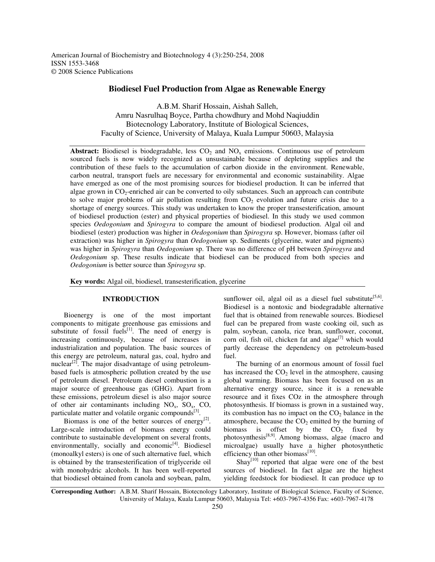American Journal of Biochemistry and Biotechnology 4 (3):250-254, 2008 ISSN 1553-3468 © 2008 Science Publications

# **Biodiesel Fuel Production from Algae as Renewable Energy**

A.B.M. Sharif Hossain, Aishah Salleh, Amru Nasrulhaq Boyce, Partha chowdhury and Mohd Naqiuddin Biotecnology Laboratory, Institute of Biological Sciences, Faculty of Science, University of Malaya, Kuala Lumpur 50603, Malaysia

**Abstract:** Biodiesel is biodegradable, less  $CO<sub>2</sub>$  and  $NO<sub>x</sub>$  emissions. Continuous use of petroleum sourced fuels is now widely recognized as unsustainable because of depleting supplies and the contribution of these fuels to the accumulation of carbon dioxide in the environment. Renewable, carbon neutral, transport fuels are necessary for environmental and economic sustainability. Algae have emerged as one of the most promising sources for biodiesel production. It can be inferred that algae grown in  $CO_2$ -enriched air can be converted to oily substances. Such an approach can contribute to solve major problems of air pollution resulting from  $CO<sub>2</sub>$  evolution and future crisis due to a shortage of energy sources. This study was undertaken to know the proper transesterification, amount of biodiesel production (ester) and physical properties of biodiesel. In this study we used common species *Oedogonium* and *Spirogyra* to compare the amount of biodiesel production. Algal oil and biodiesel (ester) production was higher in *Oedogonium* than *Spirogyra* sp. However, biomass (after oil extraction) was higher in *Spirogyra* than *Oedogonium* sp. Sediments (glycerine, water and pigments) was higher in *Spirogyra* than *Oedogonium* sp. There was no difference of pH between *Spirogyra* and *Oedogonium* sp. These results indicate that biodiesel can be produced from both species and *Oedogonium* is better source than *Spirogyra* sp.

**Key words:** Algal oil, biodiesel, transesterification, glycerine

## **INTRODUCTION**

Bioenergy is one of the most important components to mitigate greenhouse gas emissions and substitute of fossil fuels $[1]$ . The need of energy is increasing continuously, because of increases in industrialization and population. The basic sources of this energy are petroleum, natural gas, coal, hydro and nuclear<sup>[2]</sup>. The major disadvantage of using petroleumbased fuels is atmospheric pollution created by the use of petroleum diesel. Petroleum diesel combustion is a major source of greenhouse gas (GHG). Apart from these emissions, petroleum diesel is also major source of other air contaminants including  $NO<sub>x</sub>$ ,  $SO<sub>x</sub>$ ,  $CO$ , particulate matter and volatile organic compounds<sup>[3]</sup>.

Biomass is one of the better sources of energy<sup>[2]</sup>. Large-scale introduction of biomass energy could contribute to sustainable development on several fronts, environmentally, socially and economic<sup>[4]</sup>. Biodiesel (monoalkyl esters) is one of such alternative fuel, which is obtained by the transesterification of triglyceride oil with monohydric alcohols. It has been well-reported that biodiesel obtained from canola and soybean, palm,

sunflower oil, algal oil as a diesel fuel substitute  $[5,6]$ . Biodiesel is a nontoxic and biodegradable alternative fuel that is obtained from renewable sources. Biodiesel fuel can be prepared from waste cooking oil, such as palm, soybean, canola, rice bran, sunflower, coconut, corn oil, fish oil, chicken fat and algae<sup>[7]</sup> which would partly decrease the dependency on petroleum-based fuel.

The burning of an enormous amount of fossil fuel has increased the  $CO<sub>2</sub>$  level in the atmosphere, causing global warming. Biomass has been focused on as an alternative energy source, since it is a renewable resource and it fixes COz in the atmosphere through photosynthesis. If biomass is grown in a sustained way, its combustion has no impact on the  $CO<sub>2</sub>$  balance in the atmosphere, because the  $CO<sub>2</sub>$  emitted by the burning of biomass is offset by the  $CO<sub>2</sub>$  fixed by photosynthesis<sup>[8,9]</sup>. Among biomass, algae (macro and microalgae) usually have a higher photosynthetic efficiency than other biomass<sup>[10]</sup>.

Shay<sup>[10]</sup> reported that algae were one of the best sources of biodiesel. In fact algae are the highest yielding feedstock for biodiesel. It can produce up to

**Corresponding Author:** A.B.M. Sharif Hossain, Biotecnology Laboratory, Institute of Biological Science, Faculty of Science, University of Malaya, Kuala Lumpur 50603, Malaysia Tel: +603-7967-4356 Fax: +603-7967-4178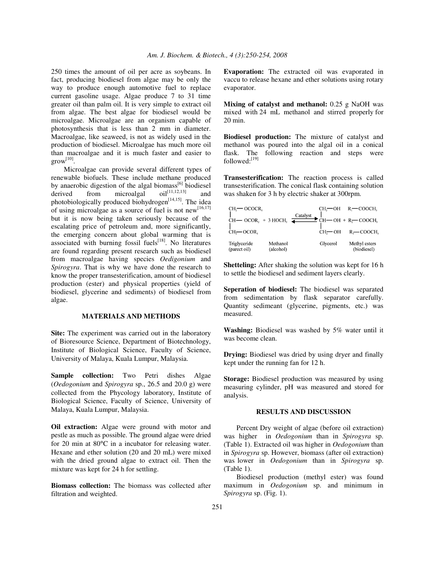250 times the amount of oil per acre as soybeans. In fact, producing biodiesel from algae may be only the way to produce enough automotive fuel to replace current gasoline usage. Algae produce 7 to 31 time greater oil than palm oil. It is very simple to extract oil from algae. The best algae for biodiesel would be microalgae. Microalgae are an organism capable of photosynthesis that is less than 2 mm in diameter. Macroalgae, like seaweed, is not as widely used in the production of biodiesel. Microalgae has much more oil than macroalgae and it is much faster and easier to  $\text{grow}^{[10]}.$ 

Microalgae can provide several different types of renewable biofuels. These include methane produced by anaerobic digestion of the algal biomass<sup>[6]</sup> biodiesel derived from microalgal  $\text{oil}^{\left[11,12,13\right]}$ and photobiologically produced biohydrogen<sup>[14,15]</sup>. The idea of using microalgae as a source of fuel is not new  $[16,17]$ but it is now being taken seriously because of the escalating price of petroleum and, more significantly, the emerging concern about global warming that is associated with burning fossil fuels<sup>[18]</sup>. No literatures are found regarding present research such as biodiesel from macroalgae having species *Oedigonium* and *Spirogyra*. That is why we have done the research to know the proper transesterification, amount of biodiesel production (ester) and physical properties (yield of biodiesel, glycerine and sediments) of biodiesel from algae.

## **MATERIALS AND METHODS**

**Site:** The experiment was carried out in the laboratory of Bioresource Science, Department of Biotechnology, Institute of Biological Science, Faculty of Science, University of Malaya, Kuala Lumpur, Malaysia.

**Sample collection:** Two Petri dishes Algae (*Oedogonium* and *Spirogyra* sp., 26.5 and 20.0 g) were collected from the Phycology laboratory, Institute of Biological Science, Faculty of Science, University of Malaya, Kuala Lumpur, Malaysia.

**Oil extraction:** Algae were ground with motor and pestle as much as possible. The ground algae were dried for 20 min at 80°C in a incubator for releasing water. Hexane and ether solution (20 and 20 mL) were mixed with the dried ground algae to extract oil. Then the mixture was kept for 24 h for settling.

**Biomass collection:** The biomass was collected after filtration and weighted.

**Evaporation:** The extracted oil was evaporated in vaccu to release hexane and ether solutions using rotary evaporator.

**Mixing of catalyst and methanol:** 0.25 g NaOH was mixed with 24 mL methanol and stirred properly for 20 min.

**Biodiesel production:** The mixture of catalyst and methanol was poured into the algal oil in a conical flask. The following reaction and steps were followed:<sup>[19]</sup>

**Transesterification:** The reaction process is called transesterification. The conical flask containing solution was shaken for 3 h by electric shaker at 300rpm.

| $CH3$ OCOCR <sub>1</sub>     |                       | Catalyst<br>$CH$ $\longrightarrow$ OCOR <sub>2</sub> + 3 HOCH <sub>3</sub> $\longrightarrow$ CH $\longrightarrow$ OH + R <sub>7</sub> COOCH <sub>3</sub> | $CH,$ —OH $R$ —COOCH,                     |
|------------------------------|-----------------------|----------------------------------------------------------------------------------------------------------------------------------------------------------|-------------------------------------------|
| $CH3$ OCOR,                  |                       |                                                                                                                                                          | $CH \rightarrow OH$ $R \rightarrow COOCH$ |
| Triglyceride<br>(parect oil) | Methanol<br>(alcohol) | Glycerol                                                                                                                                                 | Methyl esters<br>(biodiesel)              |

**Shetteling:** After shaking the solution was kept for 16 h to settle the biodiesel and sediment layers clearly.

**Seperation of biodiesel:** The biodiesel was separated from sedimentation by flask separator carefully. Quantity sedimeant (glycerine, pigments, etc.) was measured.

**Washing:** Biodiesel was washed by 5% water until it was become clean.

**Drying:** Biodiesel was dried by using dryer and finally kept under the running fan for 12 h.

**Storage:** Biodiesel production was measured by using measuring cylinder, pH was measured and stored for analysis.

### **RESULTS AND DISCUSSION**

Percent Dry weight of algae (before oil extraction) was higher in *Oedogonium* than in *Spirogyra* sp. (Table 1). Extracted oil was higher in *Oedogonium* than in *Spirogyra* sp. However, biomass (after oil extraction) was lower in *Oedogonium* than in *Spirogyra* sp. (Table 1).

Biodiesel production (methyl ester) was found maximum in *Oedogonium* sp. and minimum in *Spirogyra* sp. (Fig. 1).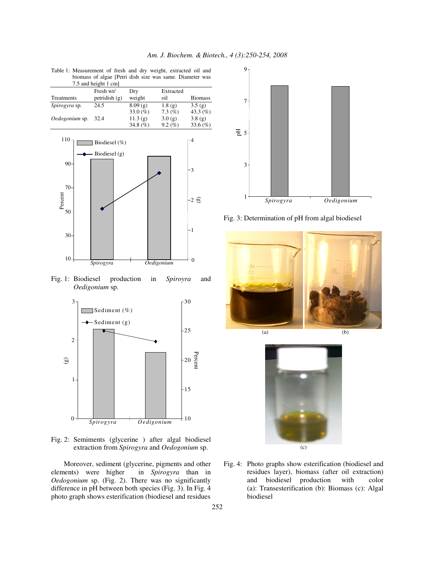|                | profiliass of argae if cur uisit size was same. Diameter was |              |             |                |
|----------------|--------------------------------------------------------------|--------------|-------------|----------------|
|                | 7.5 and height 1 cm                                          |              |             |                |
|                | Fresh wt/                                                    | Drv          | Extracted   |                |
| Treatments     | petridish $(g)$                                              | weight       | oil         | <b>Biomass</b> |
| Spirogyra sp.  | 24.5                                                         | 8.09(g)      | 1.8(g)      | 3.5(g)         |
|                |                                                              | 33.0 $(\% )$ | $7.3\ (\%)$ | 43.3 $(\% )$   |
| Oedogonium sp. | 32.4                                                         | 11.3(g)      | 3.0(g)      | 3.8(g)         |
|                |                                                              | 34.8 $(\% )$ | $9.2\ (\%)$ | $33.6\,(%)$    |

Table 1: Measurement of fresh and dry weight, extracted oil and<br>higher was same. Diameter was biomass of algae [Petri dish size was



Fig. 1: Biodiesel production in *Spiroyra* and *Oedigonium* sp.



Fig. 2: Semiments (glycerine ) after algal biodiesel extraction from *Spirogyra* and *Oedogonium* sp.

Moreover, sediment (glycerine, pigments and other elements) were higher in *Spirogyra* than in *Oedogonium* sp. (Fig. 2). There was no significantly difference in pH between both species (Fig. 3). In Fig. 4 photo graph shows esterification (biodiesel and residues



Fig. 3: Determination of pH from algal biodiesel





Fig. 4: Photo graphs show esterification (biodiesel and residues layer), biomass (after oil extraction) and biodiesel production with color (a): Transesterification (b): Biomass (c): Algal biodiesel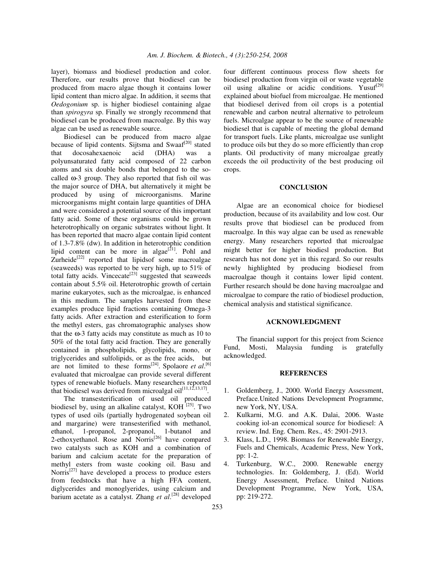layer), biomass and biodiesel production and color. Therefore, our results prove that biodiesel can be produced from macro algae though it contains lower lipid content than micro algae. In addition, it seems that *Oedogonium* sp. is higher biodiesel containing algae than *spirogyra* sp. Finally we strongly recommend that biodiesel can be produced from macroalge. By this way algae can be used as renewable source.

Biodiesel can be produced from macro algae because of lipid contents. Sijtsma and Swaaf<sup>[20]</sup> stated that docosahexaenoic acid (DHA) was a polyunsaturated fatty acid composed of 22 carbon atoms and six double bonds that belonged to the socalled ω-3 group. They also reported that fish oil was the major source of DHA, but alternatively it might be produced by using of microorganisms. Marine microorganisms might contain large quantities of DHA and were considered a potential source of this important fatty acid. Some of these organisms could be grown heterotrophically on organic substrates without light. It has been reported that macro algae contain lipid content of 1.3-7.8% (dw). In addition in heterotrophic condition lipid content can be more in algae $[21]$ . Pohl and Zurheide $^{[22]}$  reported that lipidsof some macroalgae (seaweeds) was reported to be very high, up to 51% of total fatty acids. Vincecate<sup>[23]</sup> suggested that seaweeds contain about 5.5% oil. Heterotrophic growth of certain marine eukaryotes, such as the microalgae, is enhanced in this medium. The samples harvested from these examples produce lipid fractions containing Omega-3 fatty acids. After extraction and esterification to form the methyl esters, gas chromatographic analyses show that the  $\omega$ -3 fatty acids may constitute as much as 10 to 50% of the total fatty acid fraction. They are generally contained in phospholipids, glycolipids, mono, or triglycerides and sulfolipids, or as the free acids, but are not limited to these forms<sup>[24]</sup>. Spolaore et al.<sup>[6]</sup> evaluated that microalgae can provide several different types of renewable biofuels. Many researchers reported that biodiesel was derived from microalgal  $\text{oil}^{[11,12,13,17]}$ .

The transesterification of used oil produced biodiesel by, using an alkaline catalyst, KOH<sup>[25]</sup>. Two types of used oils (partially hydrogenated soybean oil and margarine) were transesterified with methanol, ethanol, 1-propanol, 2-propanol, 1-butanol and 2-ethoxyethanol. Rose and Norris<sup>[26]</sup> have compared two catalysts such as KOH and a combination of barium and calcium acetate for the preparation of methyl esters from waste cooking oil. Basu and Norris<sup>[27]</sup> have developed a process to produce esters from feedstocks that have a high FFA content, diglycerides and monoglyerides, using calcium and barium acetate as a catalyst. Zhang *et al*. [28] developed

four different continuous process flow sheets for biodiesel production from virgin oil or waste vegetable oil using alkaline or acidic conditions. Yusuf<sup>[29]</sup> explained about biofuel from microalgae. He mentioned that biodiesel derived from oil crops is a potential renewable and carbon neutral alternative to petroleum fuels. Microalgae appear to be the source of renewable biodiesel that is capable of meeting the global demand for transport fuels. Like plants, microalgae use sunlight to produce oils but they do so more efficiently than crop plants. Oil productivity of many microalgae greatly exceeds the oil productivity of the best producing oil crops.

#### **CONCLUSION**

Algae are an economical choice for biodiesel production, because of its availability and low cost. Our results prove that biodiesel can be produced from macroalge. In this way algae can be used as renewable energy. Many researchers reported that microalgae might better for higher biodiesl production. But research has not done yet in this regard. So our results newly highlighted by producing biodiesel from macroalgae though it contains lower lipid content. Further research should be done having macroalgae and microalgae to compare the ratio of biodiesel production, chemical analysis and statistical significance.

### **ACKNOWLEDGMENT**

The financial support for this project from Science Fund, Mosti, Malaysia funding is gratefully acknowledged.

### **REFERENCES**

- 1. Goldemberg, J., 2000. World Energy Assessment, Preface.United Nations Development Programme, new York, NY, USA.
- 2. Kulkarni, M.G. and A.K. Dalai, 2006. Waste cooking iol-an economical source for biodiesel: A review. Ind. Eng. Chem. Res., 45: 2901-2913.
- 3. Klass, L.D., 1998. Biomass for Renewable Energy, Fuels and Chemicals, Academic Press, New York, pp: 1-2.
- 4. Turkenburg, W.C., 2000. Renewable energy technologies. In: Goldemberg, J. (Ed). World Energy Assessment, Preface. United Nations Development Programme, New York, USA, pp: 219-272.